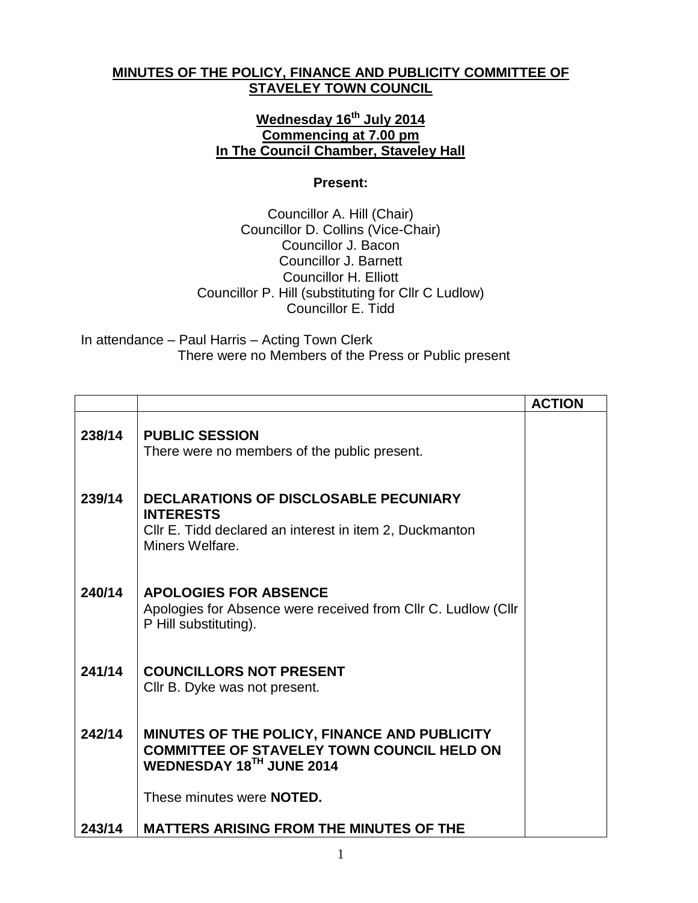## **MINUTES OF THE POLICY, FINANCE AND PUBLICITY COMMITTEE OF STAVELEY TOWN COUNCIL**

## **Wednesday 16th July 2014 Commencing at 7.00 pm In The Council Chamber, Staveley Hall**

## **Present:**

Councillor A. Hill (Chair) Councillor D. Collins (Vice-Chair) Councillor J. Bacon Councillor J. Barnett Councillor H. Elliott Councillor P. Hill (substituting for Cllr C Ludlow) Councillor E. Tidd

In attendance – Paul Harris – Acting Town Clerk There were no Members of the Press or Public present

|        |                                                                                                                                                | <b>ACTION</b> |
|--------|------------------------------------------------------------------------------------------------------------------------------------------------|---------------|
| 238/14 | <b>PUBLIC SESSION</b><br>There were no members of the public present.                                                                          |               |
| 239/14 | <b>DECLARATIONS OF DISCLOSABLE PECUNIARY</b><br><b>INTERESTS</b><br>CIIr E. Tidd declared an interest in item 2, Duckmanton<br>Miners Welfare. |               |
| 240/14 | <b>APOLOGIES FOR ABSENCE</b><br>Apologies for Absence were received from Cllr C. Ludlow (Cllr<br>P Hill substituting).                         |               |
| 241/14 | <b>COUNCILLORS NOT PRESENT</b><br>Cllr B. Dyke was not present.                                                                                |               |
| 242/14 | MINUTES OF THE POLICY, FINANCE AND PUBLICITY<br><b>COMMITTEE OF STAVELEY TOWN COUNCIL HELD ON</b><br>WEDNESDAY 18TH JUNE 2014                  |               |
|        | These minutes were <b>NOTED.</b>                                                                                                               |               |
| 243/14 | <b>MATTERS ARISING FROM THE MINUTES OF THE</b>                                                                                                 |               |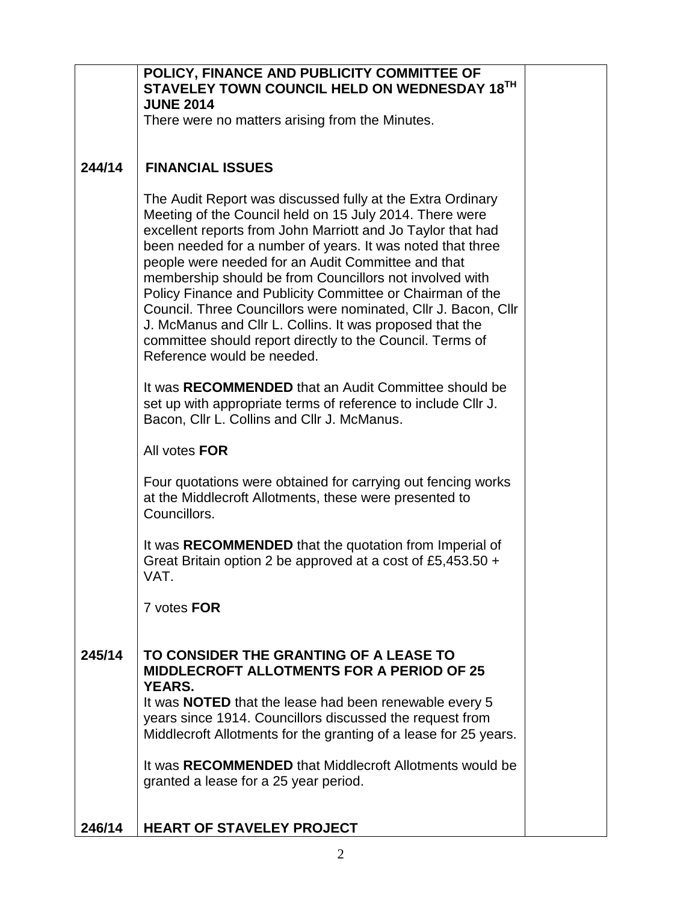|        | POLICY, FINANCE AND PUBLICITY COMMITTEE OF<br>STAVELEY TOWN COUNCIL HELD ON WEDNESDAY 18TH                                                                                                                                                                                                                                                                                                                                                                                                                                                                                                                                                                |  |
|--------|-----------------------------------------------------------------------------------------------------------------------------------------------------------------------------------------------------------------------------------------------------------------------------------------------------------------------------------------------------------------------------------------------------------------------------------------------------------------------------------------------------------------------------------------------------------------------------------------------------------------------------------------------------------|--|
|        | <b>JUNE 2014</b>                                                                                                                                                                                                                                                                                                                                                                                                                                                                                                                                                                                                                                          |  |
|        | There were no matters arising from the Minutes.                                                                                                                                                                                                                                                                                                                                                                                                                                                                                                                                                                                                           |  |
|        |                                                                                                                                                                                                                                                                                                                                                                                                                                                                                                                                                                                                                                                           |  |
| 244/14 | <b>FINANCIAL ISSUES</b>                                                                                                                                                                                                                                                                                                                                                                                                                                                                                                                                                                                                                                   |  |
|        | The Audit Report was discussed fully at the Extra Ordinary<br>Meeting of the Council held on 15 July 2014. There were<br>excellent reports from John Marriott and Jo Taylor that had<br>been needed for a number of years. It was noted that three<br>people were needed for an Audit Committee and that<br>membership should be from Councillors not involved with<br>Policy Finance and Publicity Committee or Chairman of the<br>Council. Three Councillors were nominated, Cllr J. Bacon, Cllr<br>J. McManus and Cllr L. Collins. It was proposed that the<br>committee should report directly to the Council. Terms of<br>Reference would be needed. |  |
|        | It was RECOMMENDED that an Audit Committee should be<br>set up with appropriate terms of reference to include CIIr J.<br>Bacon, Cllr L. Collins and Cllr J. McManus.                                                                                                                                                                                                                                                                                                                                                                                                                                                                                      |  |
|        | All votes FOR                                                                                                                                                                                                                                                                                                                                                                                                                                                                                                                                                                                                                                             |  |
|        | Four quotations were obtained for carrying out fencing works<br>at the Middlecroft Allotments, these were presented to<br>Councillors.                                                                                                                                                                                                                                                                                                                                                                                                                                                                                                                    |  |
|        | It was RECOMMENDED that the quotation from Imperial of<br>Great Britain option 2 be approved at a cost of £5,453.50 +<br>VAT.                                                                                                                                                                                                                                                                                                                                                                                                                                                                                                                             |  |
|        | 7 votes FOR                                                                                                                                                                                                                                                                                                                                                                                                                                                                                                                                                                                                                                               |  |
| 245/14 | TO CONSIDER THE GRANTING OF A LEASE TO<br><b>MIDDLECROFT ALLOTMENTS FOR A PERIOD OF 25</b><br><b>YEARS.</b><br>It was <b>NOTED</b> that the lease had been renewable every 5<br>years since 1914. Councillors discussed the request from<br>Middlecroft Allotments for the granting of a lease for 25 years.<br>It was RECOMMENDED that Middlecroft Allotments would be<br>granted a lease for a 25 year period.                                                                                                                                                                                                                                          |  |
| 246/14 | <b>HEART OF STAVELEY PROJECT</b>                                                                                                                                                                                                                                                                                                                                                                                                                                                                                                                                                                                                                          |  |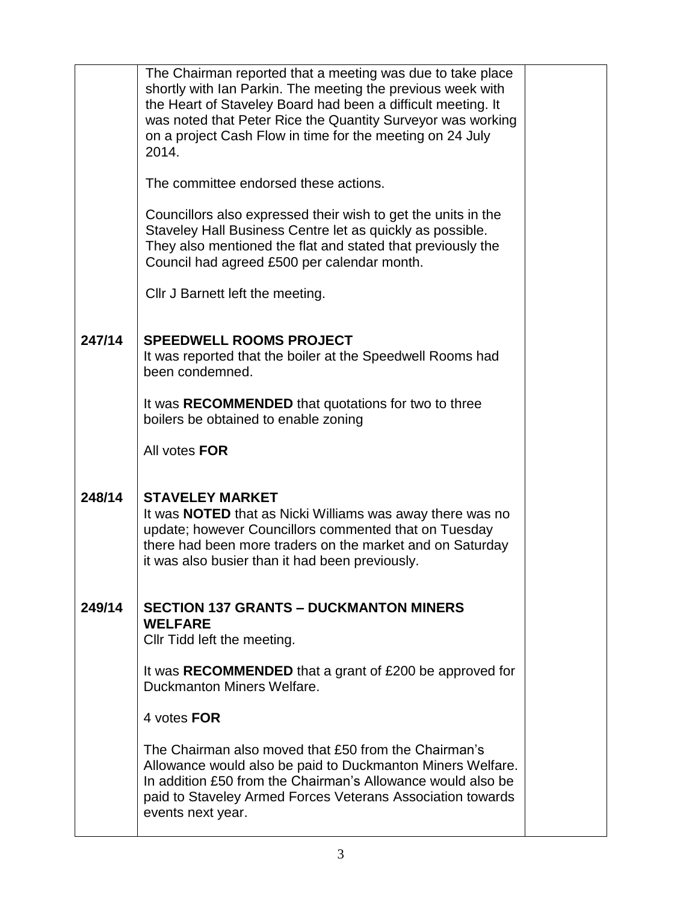|        | The Chairman reported that a meeting was due to take place<br>shortly with Ian Parkin. The meeting the previous week with<br>the Heart of Staveley Board had been a difficult meeting. It<br>was noted that Peter Rice the Quantity Surveyor was working<br>on a project Cash Flow in time for the meeting on 24 July<br>2014.<br>The committee endorsed these actions. |  |
|--------|-------------------------------------------------------------------------------------------------------------------------------------------------------------------------------------------------------------------------------------------------------------------------------------------------------------------------------------------------------------------------|--|
|        | Councillors also expressed their wish to get the units in the<br>Staveley Hall Business Centre let as quickly as possible.<br>They also mentioned the flat and stated that previously the<br>Council had agreed £500 per calendar month.                                                                                                                                |  |
|        | CIIr J Barnett left the meeting.                                                                                                                                                                                                                                                                                                                                        |  |
| 247/14 | <b>SPEEDWELL ROOMS PROJECT</b><br>It was reported that the boiler at the Speedwell Rooms had<br>been condemned.                                                                                                                                                                                                                                                         |  |
|        | It was RECOMMENDED that quotations for two to three<br>boilers be obtained to enable zoning                                                                                                                                                                                                                                                                             |  |
|        | All votes FOR                                                                                                                                                                                                                                                                                                                                                           |  |
| 248/14 | <b>STAVELEY MARKET</b><br>It was <b>NOTED</b> that as Nicki Williams was away there was no<br>update; however Councillors commented that on Tuesday<br>there had been more traders on the market and on Saturday<br>it was also busier than it had been previously.                                                                                                     |  |
| 249/14 | <b>SECTION 137 GRANTS - DUCKMANTON MINERS</b><br><b>WELFARE</b><br>CIIr Tidd left the meeting.                                                                                                                                                                                                                                                                          |  |
|        | It was RECOMMENDED that a grant of £200 be approved for<br>Duckmanton Miners Welfare.                                                                                                                                                                                                                                                                                   |  |
|        | 4 votes FOR                                                                                                                                                                                                                                                                                                                                                             |  |
|        | The Chairman also moved that £50 from the Chairman's<br>Allowance would also be paid to Duckmanton Miners Welfare.<br>In addition £50 from the Chairman's Allowance would also be<br>paid to Staveley Armed Forces Veterans Association towards<br>events next year.                                                                                                    |  |